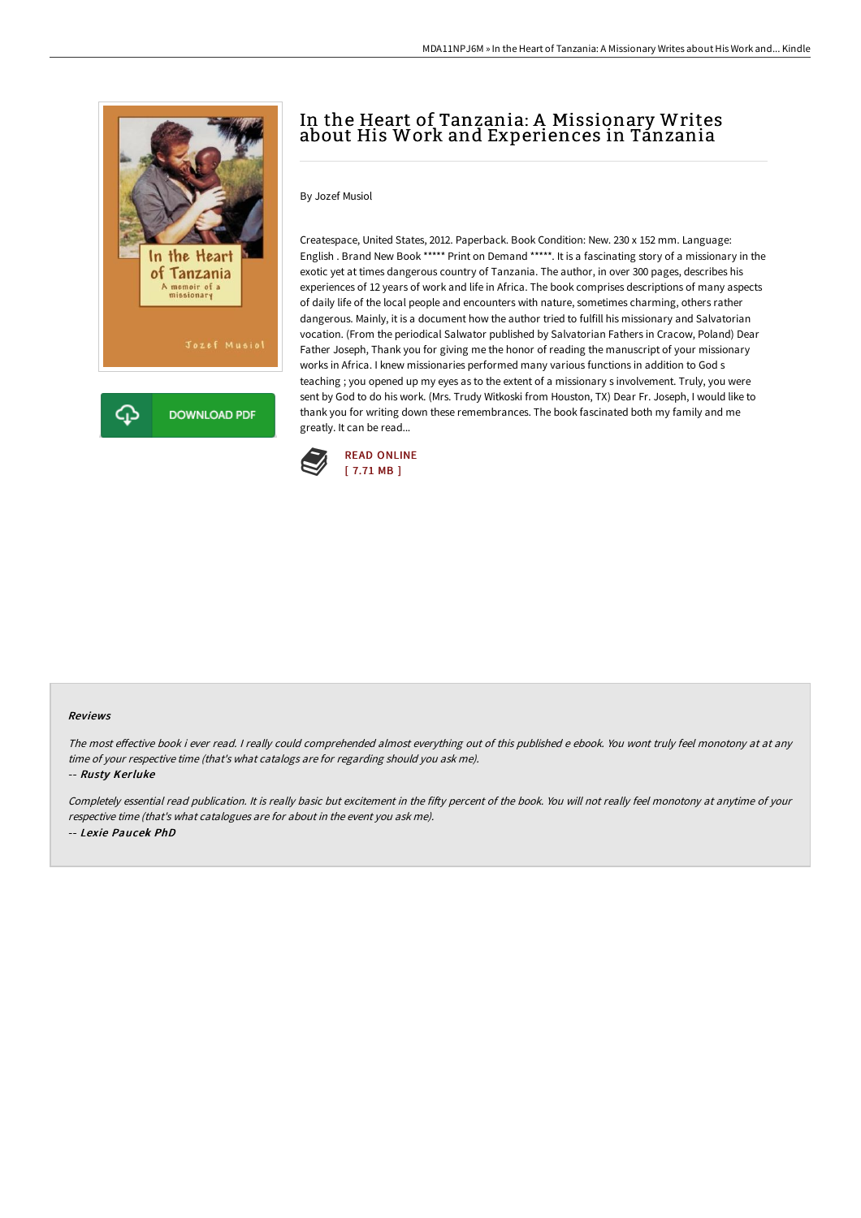

# In the Heart of Tanzania: A Missionary Writes about His Work and Experiences in Tanzania

### By Jozef Musiol

Createspace, United States, 2012. Paperback. Book Condition: New. 230 x 152 mm. Language: English . Brand New Book \*\*\*\*\* Print on Demand \*\*\*\*\*. It is a fascinating story of a missionary in the exotic yet at times dangerous country of Tanzania. The author, in over 300 pages, describes his experiences of 12 years of work and life in Africa. The book comprises descriptions of many aspects of daily life of the local people and encounters with nature, sometimes charming, others rather dangerous. Mainly, it is a document how the author tried to fulfill his missionary and Salvatorian vocation. (From the periodical Salwator published by Salvatorian Fathers in Cracow, Poland) Dear Father Joseph, Thank you for giving me the honor of reading the manuscript of your missionary works in Africa. I knew missionaries performed many various functions in addition to God s teaching ; you opened up my eyes as to the extent of a missionary s involvement. Truly, you were sent by God to do his work. (Mrs. Trudy Witkoski from Houston, TX) Dear Fr. Joseph, I would like to thank you for writing down these remembrances. The book fascinated both my family and me greatly. It can be read...



#### Reviews

The most effective book i ever read. I really could comprehended almost everything out of this published e ebook. You wont truly feel monotony at at any time of your respective time (that's what catalogs are for regarding should you ask me).

-- Rusty Kerluke

Completely essential read publication. It is really basic but excitement in the fifty percent of the book. You will not really feel monotony at anytime of your respective time (that's what catalogues are for about in the event you ask me). -- Lexie Paucek PhD